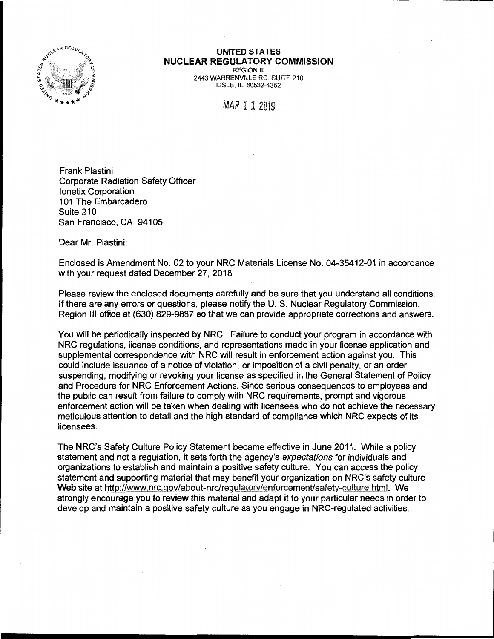

## **UNITED STATES NUCLEAR REGULATORY COMMISSION**  REGION Ill

2443 WARRENVILLE RD. SUITE 210 LISLE, IL 60532-4352

MAR 11 2019

Frank Plastini Corporate Radiation Safety Officer lonetix Corporation 101 The Embarcadero Suite 210 San Francisco, CA 94105

Dear Mr. Plastini:

Enclosed is Amendment No. 02 to your NRC Materials License No. 04-35412-01 in accordance with your request dated December 27, 2018.

Please review the enclosed documents carefully and be sure that you understand all conditions. If there are any errors or questions, please notify the U. S. Nuclear Regulatory Commission, Region Ill office at (630) 829-9887 so that we can provide appropriate corrections and answers.

You will be periodically inspected by NRC. Failure to conduct your program in accordance with NRC regulations, license conditions, and representations made in your license application and supplemental correspondence with NRC will result in enforcement action against you. This could include issuance of a notice of violation, or imposition of a civil penalty, or an order suspending, modifying or revoking your license as specified in the General Statement of Policy and Procedure for NRC Enforcement Actions. Since serious consequences to employees and the public can result from failure to comply with NRC requirements, prompt and vigorous enforcement action will be taken when dealing with licensees who do not achieve the necessary meticulous attention to detail and the high standard of compliance which NRC expects of its licensees.

The NRC's Safety Culture Policy Statement became effective in June 2011. While a policy statement and not a regulation, it sets forth the agency's expectations for individuals and organizations to establish and maintain a positive safety culture. You can access the policy statement and supporting material that may benefit your organization on NRC's safety culture **Web site** at http://www.nrc.gov/about-nrc/regulatory/enforcement/safety-culture. html. We strongly encourage you to review this material and adapt it to your particular needs in order to develop and maintain a positive safety culture as you engage in NRG-regulated activities.